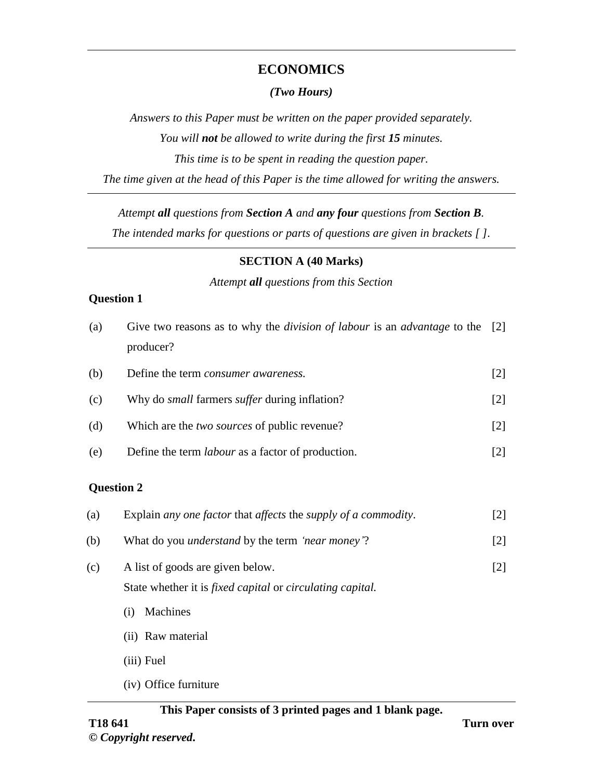## **ECONOMICS**

#### *(Two Hours)*

*Answers to this Paper must be written on the paper provided separately. You will not be allowed to write during the first 15 minutes. This time is to be spent in reading the question paper. The time given at the head of this Paper is the time allowed for writing the answers.*

*Attempt all questions from Section A and any four questions from Section B.*

*The intended marks for questions or parts of questions are given in brackets [ ].*

#### **SECTION A (40 Marks)**

*Attempt all questions from this Section*

#### **Question 1**

| (a) | Give two reasons as to why the <i>division of labour</i> is an <i>advantage</i> to the [2]<br>producer? |                   |
|-----|---------------------------------------------------------------------------------------------------------|-------------------|
| (b) | Define the term <i>consumer awareness</i> .                                                             | $\lceil 2 \rceil$ |
| (c) | Why do <i>small</i> farmers <i>suffer</i> during inflation?                                             | $\lceil 2 \rceil$ |
| (d) | Which are the <i>two sources</i> of public revenue?                                                     | $\lceil 2 \rceil$ |
| (e) | Define the term <i>labour</i> as a factor of production.                                                | $\lceil 2 \rceil$ |

#### **Question 2**

| (a) | Explain any one factor that affects the supply of a commodity.           |     |  |  |
|-----|--------------------------------------------------------------------------|-----|--|--|
| (b) | What do you <i>understand</i> by the term 'near money'?<br>[2]           |     |  |  |
| (c) | A list of goods are given below.                                         | [2] |  |  |
|     | State whether it is <i>fixed capital</i> or <i>circulating capital</i> . |     |  |  |
|     | Machines<br>$\left( 1 \right)$                                           |     |  |  |
|     | (ii) Raw material                                                        |     |  |  |
|     | (iii) Fuel                                                               |     |  |  |
|     |                                                                          |     |  |  |

(iv) Office furniture

## **This Paper consists of 3 printed pages and 1 blank page.**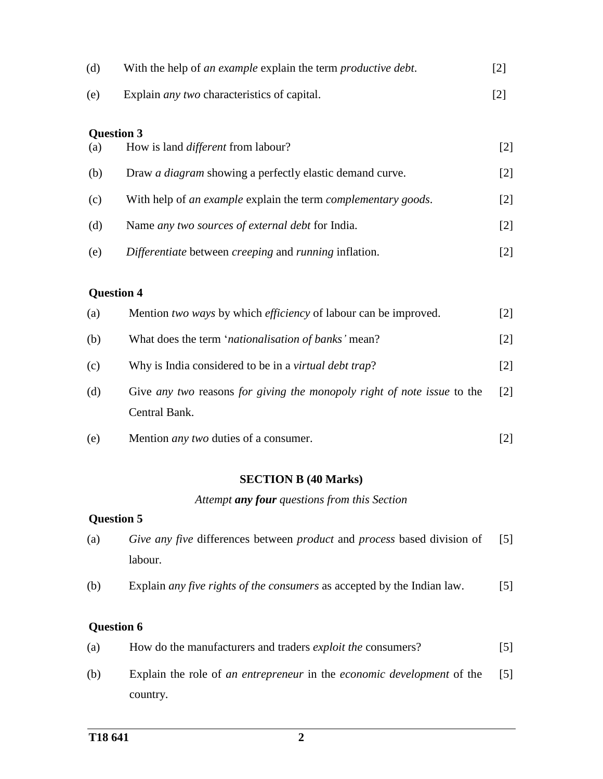| (d) | With the help of <i>an example</i> explain the term <i>productive debt</i> . | $\lceil 2 \rceil$ |
|-----|------------------------------------------------------------------------------|-------------------|
| (e) | Explain <i>any two</i> characteristics of capital.                           | $\lceil 2 \rceil$ |

#### **Question 3**

| (a) | How is land <i>different</i> from labour?                       | [2]   |
|-----|-----------------------------------------------------------------|-------|
| (b) | Draw <i>a diagram</i> showing a perfectly elastic demand curve. | $[2]$ |
| (c) | With help of an example explain the term complementary goods.   | $[2]$ |
| (d) | Name any two sources of external debt for India.                | $[2]$ |
| (e) | Differentiate between creeping and running inflation.           | 2     |

### **Question 4**

| (a) | Mention two ways by which <i>efficiency</i> of labour can be improved.                   | $\lceil 2 \rceil$ |
|-----|------------------------------------------------------------------------------------------|-------------------|
| (b) | What does the term 'nationalisation of banks' mean?                                      | $\lceil 2 \rceil$ |
| (c) | Why is India considered to be in a <i>virtual debt trap</i> ?                            | $\lceil 2 \rceil$ |
| (d) | Give any two reasons for giving the monopoly right of note issue to the<br>Central Bank. | $\lceil 2 \rceil$ |
| (e) | Mention <i>any two</i> duties of a consumer.                                             |                   |

### **SECTION B (40 Marks)**

*Attempt any four questions from this Section*

### **Question 5**

| (a) | <i>Give any five differences between product and process based division of</i> | $\lceil 5 \rceil$ |
|-----|--------------------------------------------------------------------------------|-------------------|
|     | labour.                                                                        |                   |

(b) Explain *any five rights of the consumers* as accepted by the Indian law. [5]

### **Question 6**

| (a)            | How do the manufacturers and traders <i>exploit the</i> consumers?                                                                     |  |
|----------------|----------------------------------------------------------------------------------------------------------------------------------------|--|
| $(1. \lambda)$ | $\Gamma$ and the definition of the continuous continuity of $\Gamma$ and $\Gamma$ and $\Gamma$ and $\Gamma$ $\Gamma$ $\Gamma$ $\Gamma$ |  |

(b) Explain the role of *an entrepreneur* in the *economic development* of the country. [5]